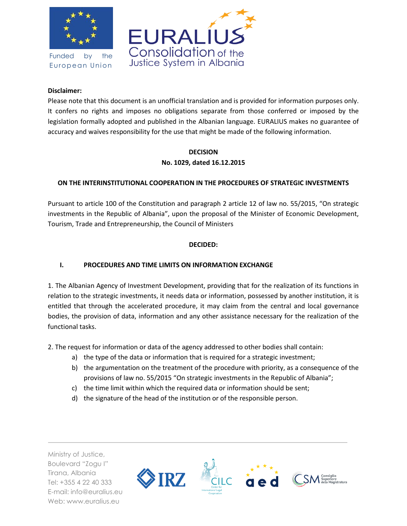

Funded by the European Union



### **Disclaimer:**

Please note that this document is an unofficial translation and is provided for information purposes only. It confers no rights and imposes no obligations separate from those conferred or imposed by the legislation formally adopted and published in the Albanian language. EURALIUS makes no guarantee of accuracy and waives responsibility for the use that might be made of the following information.

# **DECISION No. 1029, dated 16.12.2015**

### **ON THE INTERINSTITUTIONAL COOPERATION IN THE PROCEDURES OF STRATEGIC INVESTMENTS**

Pursuant to article 100 of the Constitution and paragraph 2 article 12 of law no. 55/2015, "On strategic investments in the Republic of Albania", upon the proposal of the Minister of Economic Development, Tourism, Trade and Entrepreneurship, the Council of Ministers

### **DECIDED:**

## **I. PROCEDURES AND TIME LIMITS ON INFORMATION EXCHANGE**

1. The Albanian Agency of Investment Development, providing that for the realization of its functions in relation to the strategic investments, it needs data or information, possessed by another institution, it is entitled that through the accelerated procedure, it may claim from the central and local governance bodies, the provision of data, information and any other assistance necessary for the realization of the functional tasks.

2. The request for information or data of the agency addressed to other bodies shall contain:

- a) the type of the data or information that is required for a strategic investment;
- b) the argumentation on the treatment of the procedure with priority, as a consequence of the provisions of law no. 55/2015 "On strategic investments in the Republic of Albania";
- c) the time limit within which the required data or information should be sent;
- d) the signature of the head of the institution or of the responsible person.

Ministry of Justice, Boulevard "Zogu I" Tirana, Albania Tel: +355 4 22 40 333 E-mail: info@euralius.eu Web: www.euralius.eu

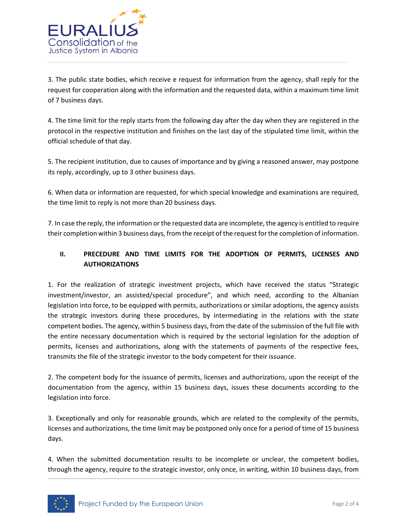

3. The public state bodies, which receive e request for information from the agency, shall reply for the request for cooperation along with the information and the requested data, within a maximum time limit of 7 business days.

4. The time limit for the reply starts from the following day after the day when they are registered in the protocol in the respective institution and finishes on the last day of the stipulated time limit, within the official schedule of that day.

5. The recipient institution, due to causes of importance and by giving a reasoned answer, may postpone its reply, accordingly, up to 3 other business days.

6. When data or information are requested, for which special knowledge and examinations are required, the time limit to reply is not more than 20 business days.

7. In case the reply, the information or the requested data are incomplete, the agency is entitled to require their completion within 3 business days, from the receipt of the request for the completion of information.

# **II. PRECEDURE AND TIME LIMITS FOR THE ADOPTION OF PERMITS, LICENSES AND AUTHORIZATIONS**

1. For the realization of strategic investment projects, which have received the status "Strategic investment/investor, an assisted/special procedure", and which need, according to the Albanian legislation into force, to be equipped with permits, authorizations or similar adoptions, the agency assists the strategic investors during these procedures, by intermediating in the relations with the state competent bodies. The agency, within 5 business days, from the date of the submission of the full file with the entire necessary documentation which is required by the sectorial legislation for the adoption of permits, licenses and authorizations, along with the statements of payments of the respective fees, transmits the file of the strategic investor to the body competent for their issuance.

2. The competent body for the issuance of permits, licenses and authorizations, upon the receipt of the documentation from the agency, within 15 business days, issues these documents according to the legislation into force.

3. Exceptionally and only for reasonable grounds, which are related to the complexity of the permits, licenses and authorizations, the time limit may be postponed only once for a period of time of 15 business days.

4. When the submitted documentation results to be incomplete or unclear, the competent bodies, through the agency, require to the strategic investor, only once, in writing, within 10 business days, from

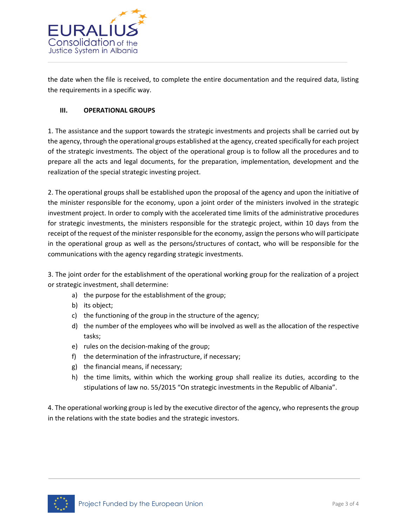

the date when the file is received, to complete the entire documentation and the required data, listing the requirements in a specific way.

### **III. OPERATIONAL GROUPS**

1. The assistance and the support towards the strategic investments and projects shall be carried out by the agency, through the operational groups established at the agency, created specifically for each project of the strategic investments. The object of the operational group is to follow all the procedures and to prepare all the acts and legal documents, for the preparation, implementation, development and the realization of the special strategic investing project.

2. The operational groups shall be established upon the proposal of the agency and upon the initiative of the minister responsible for the economy, upon a joint order of the ministers involved in the strategic investment project. In order to comply with the accelerated time limits of the administrative procedures for strategic investments, the ministers responsible for the strategic project, within 10 days from the receipt of the request of the minister responsible for the economy, assign the persons who will participate in the operational group as well as the persons/structures of contact, who will be responsible for the communications with the agency regarding strategic investments.

3. The joint order for the establishment of the operational working group for the realization of a project or strategic investment, shall determine:

- a) the purpose for the establishment of the group;
- b) its object;
- c) the functioning of the group in the structure of the agency;
- d) the number of the employees who will be involved as well as the allocation of the respective tasks;
- e) rules on the decision-making of the group;
- f) the determination of the infrastructure, if necessary;
- g) the financial means, if necessary;
- h) the time limits, within which the working group shall realize its duties, according to the stipulations of law no. 55/2015 "On strategic investments in the Republic of Albania".

4. The operational working group is led by the executive director of the agency, who represents the group in the relations with the state bodies and the strategic investors.